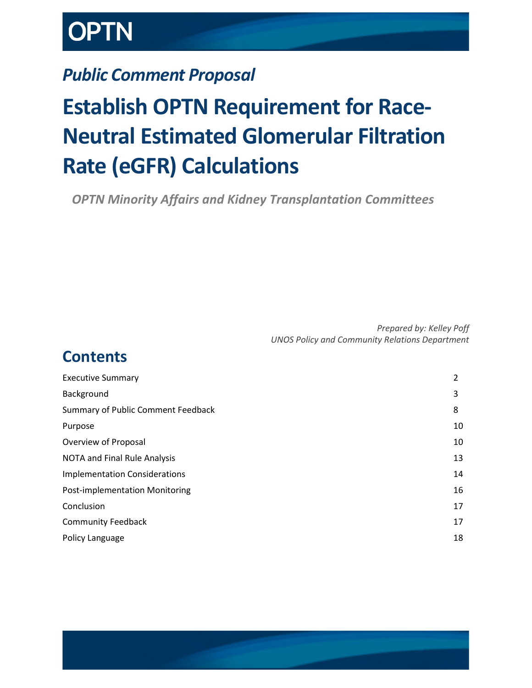

## *Public Comment Proposal*

# **Establish OPTN Requirement for Race-Neutral Estimated Glomerular Filtration Rate (eGFR) Calculations**

*OPTN Minority Affairs and Kidney Transplantation Committees* 

*Prepared by: Kelley Poff UNOS Policy and Community Relations Department*

## **Contents**

| Background<br>3                                |
|------------------------------------------------|
|                                                |
| <b>Summary of Public Comment Feedback</b><br>8 |
| 10<br>Purpose                                  |
| Overview of Proposal<br>10                     |
| NOTA and Final Rule Analysis<br>13             |
| <b>Implementation Considerations</b><br>14     |
| 16<br>Post-implementation Monitoring           |
| 17<br>Conclusion                               |
| 17<br><b>Community Feedback</b>                |
| 18<br>Policy Language                          |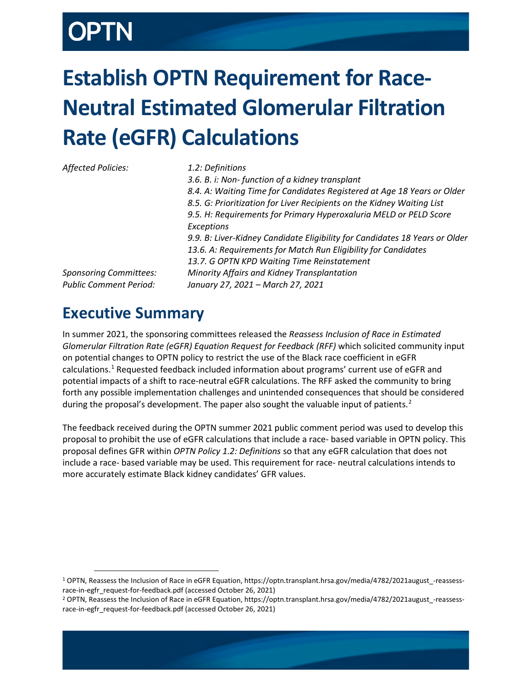# TN

# **Establish OPTN Requirement for Race-Neutral Estimated Glomerular Filtration Rate (eGFR) Calculations**

| Affected Policies:            | 1.2: Definitions                                                            |
|-------------------------------|-----------------------------------------------------------------------------|
|                               | 3.6. B. i: Non-function of a kidney transplant                              |
|                               | 8.4. A: Waiting Time for Candidates Registered at Age 18 Years or Older     |
|                               | 8.5. G: Prioritization for Liver Recipients on the Kidney Waiting List      |
|                               | 9.5. H: Requirements for Primary Hyperoxaluria MELD or PELD Score           |
|                               | Exceptions                                                                  |
|                               | 9.9. B: Liver-Kidney Candidate Eligibility for Candidates 18 Years or Older |
|                               | 13.6. A: Requirements for Match Run Eligibility for Candidates              |
|                               | 13.7. G OPTN KPD Waiting Time Reinstatement                                 |
| <b>Sponsoring Committees:</b> | Minority Affairs and Kidney Transplantation                                 |
| <b>Public Comment Period:</b> | January 27, 2021 - March 27, 2021                                           |
|                               |                                                                             |

## <span id="page-1-0"></span>**Executive Summary**

In summer 2021, the sponsoring committees released the *Reassess Inclusion of Race in Estimated Glomerular Filtration Rate (eGFR) Equation Request for Feedback (RFF)* which solicited community input on potential changes to OPTN policy to restrict the use of the Black race coefficient in eGFR calculations. [1](#page-1-1) Requested feedback included information about programs' current use of eGFR and potential impacts of a shift to race-neutral eGFR calculations. The RFF asked the community to bring forth any possible implementation challenges and unintended consequences that should be considered during the proposal's development. The paper also sought the valuable input of patients.<sup>[2](#page-1-2)</sup>

The feedback received during the OPTN summer 2021 public comment period was used to develop this proposal to prohibit the use of eGFR calculations that include a race- based variable in OPTN policy. This proposal defines GFR within *OPTN Policy 1.2: Definitions* so that any eGFR calculation that does not include a race- based variable may be used. This requirement for race- neutral calculations intends to more accurately estimate Black kidney candidates' GFR values.

<span id="page-1-1"></span> <sup>1</sup> OPTN, Reassess the Inclusion of Race in eGFR Equation, https://optn.transplant.hrsa.gov/media/4782/2021august\_-reassessrace-in-egfr\_request-for-feedback.pdf (accessed October 26, 2021)

<span id="page-1-2"></span><sup>&</sup>lt;sup>2</sup> OPTN, Reassess the Inclusion of Race in eGFR Equation, https://optn.transplant.hrsa.gov/media/4782/2021august -reassessrace-in-egfr\_request-for-feedback.pdf (accessed October 26, 2021)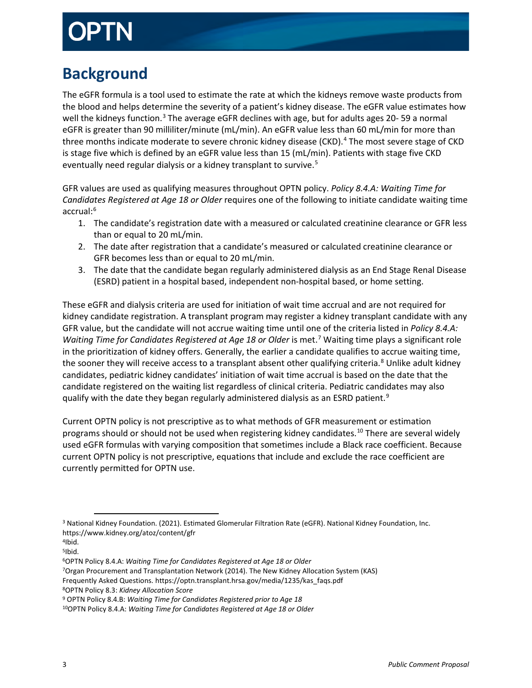## <span id="page-2-0"></span>**Background**

The eGFR formula is a tool used to estimate the rate at which the kidneys remove waste products from the blood and helps determine the severity of a patient's kidney disease. The eGFR value estimates how well the kidneys function.<sup>[3](#page-2-1)</sup> The average eGFR declines with age, but for adults ages 20-59 a normal eGFR is greater than 90 milliliter/minute (mL/min). An eGFR value less than 60 mL/min for more than three months indicate moderate to severe chronic kidney disease (CKD).[4](#page-2-2) The most severe stage of CKD is stage five which is defined by an eGFR value less than 15 (mL/min). Patients with stage five CKD eventually need regular dialysis or a kidney transplant to survive.<sup>[5](#page-2-3)</sup>

GFR values are used as qualifying measures throughout OPTN policy. *Policy 8.4.A: Waiting Time for Candidates Registered at Age 18 or Older* requires one of the following to initiate candidate waiting time accrual: [6](#page-2-4)

- 1. The candidate's registration date with a measured or calculated creatinine clearance or GFR less than or equal to 20 mL/min.
- 2. The date after registration that a candidate's measured or calculated creatinine clearance or GFR becomes less than or equal to 20 mL/min.
- 3. The date that the candidate began regularly administered dialysis as an End Stage Renal Disease (ESRD) patient in a hospital based, independent non-hospital based, or home setting.

These eGFR and dialysis criteria are used for initiation of wait time accrual and are not required for kidney candidate registration. A transplant program may register a kidney transplant candidate with any GFR value, but the candidate will not accrue waiting time until one of the criteria listed in *Policy 8.4.A:*  Waiting Time for Candidates Registered at Age 18 or Older is met.<sup>[7](#page-2-5)</sup> Waiting time plays a significant role in the prioritization of kidney offers. Generally, the earlier a candidate qualifies to accrue waiting time, the sooner they will receive access to a transplant absent other qualifying criteria.<sup>[8](#page-2-6)</sup> Unlike adult kidney candidates, pediatric kidney candidates' initiation of wait time accrual is based on the date that the candidate registered on the waiting list regardless of clinical criteria. Pediatric candidates may also qualify with the date they began regularly administered dialysis as an ESRD patient.<sup>[9](#page-2-7)</sup>

Current OPTN policy is not prescriptive as to what methods of GFR measurement or estimation programs should or should not be used when registering kidney candidates.<sup>[10](#page-2-8)</sup> There are several widely used eGFR formulas with varying composition that sometimes include a Black race coefficient. Because current OPTN policy is not prescriptive, equations that include and exclude the race coefficient are currently permitted for OPTN use.

<span id="page-2-1"></span> <sup>3</sup> National Kidney Foundation. (2021). Estimated Glomerular Filtration Rate (eGFR). National Kidney Foundation, Inc. https://www.kidney.org/atoz/content/gfr

<span id="page-2-2"></span><sup>4</sup>Ibid.

<span id="page-2-3"></span><sup>5</sup>Ibid.

<span id="page-2-4"></span><sup>6</sup>OPTN Policy 8.4.A: *Waiting Time for Candidates Registered at Age 18 or Older*

<span id="page-2-5"></span><sup>7</sup>Organ Procurement and Transplantation Network (2014). The New Kidney Allocation System (KAS)

Frequently Asked Questions. https://optn.transplant.hrsa.gov/media/1235/kas\_faqs.pdf

<span id="page-2-6"></span><sup>8</sup>OPTN Policy 8.3: *Kidney Allocation Score*

<span id="page-2-7"></span><sup>9</sup> OPTN Policy 8.4.B: *Waiting Time for Candidates Registered prior to Age 18*

<span id="page-2-8"></span><sup>10</sup>OPTN Policy 8.4.A: *Waiting Time for Candidates Registered at Age 18 or Older*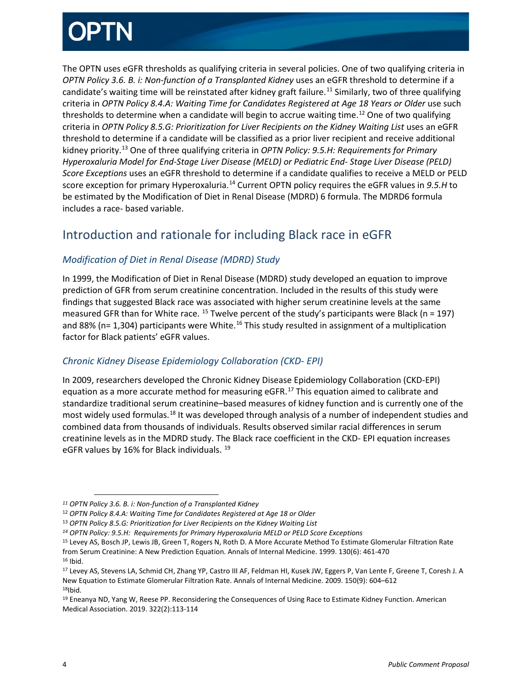The OPTN uses eGFR thresholds as qualifying criteria in several policies. One of two qualifying criteria in *OPTN Policy 3.6. B. i: Non-function of a Transplanted Kidney* uses an eGFR threshold to determine if a candidate's waiting time will be reinstated after kidney graft failure.<sup>[11](#page-3-0)</sup> Similarly, two of three qualifying criteria in *OPTN Policy 8.4.A: Waiting Time for Candidates Registered at Age 18 Years or Older* use such thresholds to determine when a candidate will begin to accrue waiting time.<sup>[12](#page-3-1)</sup> One of two qualifying criteria in *OPTN Policy 8.5.G: Prioritization for Liver Recipients on the Kidney Waiting List* uses an eGFR threshold to determine if a candidate will be classified as a prior liver recipient and receive additional kidney priority.[13](#page-3-2) One of three qualifying criteria in *OPTN Policy: 9.5.H: Requirements for Primary Hyperoxaluria Model for End-Stage Liver Disease (MELD) or Pediatric End- Stage Liver Disease (PELD) Score Exceptions* uses an eGFR threshold to determine if a candidate qualifies to receive a MELD or PELD score exception for primary Hyperoxaluria.[14](#page-3-3) Current OPTN policy requires the eGFR values in *9.5.H* to be estimated by the Modification of Diet in Renal Disease (MDRD) 6 formula. The MDRD6 formula includes a race- based variable.

## Introduction and rationale for including Black race in eGFR

## *Modification of Diet in Renal Disease (MDRD) Study*

In 1999, the Modification of Diet in Renal Disease (MDRD) study developed an equation to improve prediction of GFR from serum creatinine concentration. Included in the results of this study were findings that suggested Black race was associated with higher serum creatinine levels at the same measured GFR than for White race.  $^{15}$  $^{15}$  $^{15}$  Twelve percent of the study's participants were Black (n = 197) and 88% (n= 1,304) participants were White.<sup>[16](#page-3-5)</sup> This study resulted in assignment of a multiplication factor for Black patients' eGFR values.

## *Chronic Kidney Disease Epidemiology Collaboration (CKD- EPI)*

In 2009, researchers developed the Chronic Kidney Disease Epidemiology Collaboration (CKD-EPI) equation as a more accurate method for measuring eGFR.<sup>[17](#page-3-6)</sup> This equation aimed to calibrate and standardize traditional serum creatinine–based measures of kidney function and is currently one of the most widely used formulas.<sup>[18](#page-3-7)</sup> It was developed through analysis of a number of independent studies and combined data from thousands of individuals. Results observed similar racial differences in serum creatinine levels as in the MDRD study. The Black race coefficient in the CKD- EPI equation increases eGFR values by 16% for Black individuals.<sup>[19](#page-3-8)</sup>

l

<span id="page-3-0"></span>*<sup>11</sup> OPTN Policy 3.6. B. i: Non-function of a Transplanted Kidney*

<span id="page-3-1"></span><sup>12</sup> *OPTN Policy 8.4.A: Waiting Time for Candidates Registered at Age 18 or Older*

<span id="page-3-2"></span><sup>13</sup> *OPTN Policy 8.5.G: Prioritization for Liver Recipients on the Kidney Waiting List*

<span id="page-3-3"></span>*<sup>14</sup> OPTN Policy: 9.5.H: Requirements for Primary Hyperoxaluria MELD or PELD Score Exceptions*

<span id="page-3-4"></span><sup>15</sup> Levey AS, Bosch JP, Lewis JB, Green T, Rogers N, Roth D. A More Accurate Method To Estimate Glomerular Filtration Rate from Serum Creatinine: A New Prediction Equation. Annals of Internal Medicine. 1999. 130(6): 461-470 <sup>16</sup> Ibid.

<span id="page-3-6"></span><span id="page-3-5"></span><sup>17</sup> Levey AS, Stevens LA, Schmid CH, Zhang YP, Castro III AF, Feldman HI, Kusek JW, Eggers P, Van Lente F, Greene T, Coresh J. A New Equation to Estimate Glomerular Filtration Rate. Annals of Internal Medicine. 2009. 150(9): 604–612<br><sup>18</sup>Ibid.

<span id="page-3-8"></span><span id="page-3-7"></span><sup>&</sup>lt;sup>19</sup> Eneanya ND, Yang W, Reese PP. Reconsidering the Consequences of Using Race to Estimate Kidney Function. American Medical Association. 2019. 322(2):113-114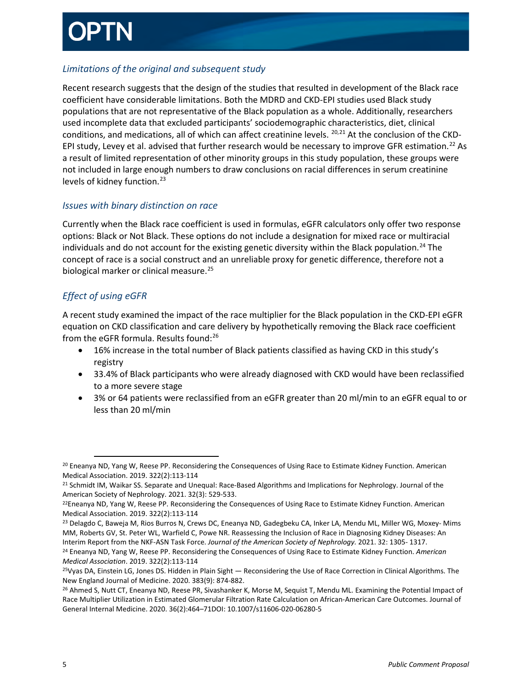## *Limitations of the original and subsequent study*

Recent research suggests that the design of the studies that resulted in development of the Black race coefficient have considerable limitations. Both the MDRD and CKD-EPI studies used Black study populations that are not representative of the Black population as a whole. Additionally, researchers used incomplete data that excluded participants' sociodemographic characteristics, diet, clinical conditions, and medications, all of which can affect creatinine levels.  $^{20,21}$  $^{20,21}$  $^{20,21}$  $^{20,21}$  At the conclusion of the CKD-EPI study, Levey et al. advised that further research would be necessary to improve GFR estimation.<sup>[22](#page-4-2)</sup> As a result of limited representation of other minority groups in this study population, these groups were not included in large enough numbers to draw conclusions on racial differences in serum creatinine levels of kidney function.<sup>[23](#page-4-3)</sup>

### *Issues with binary distinction on race*

Currently when the Black race coefficient is used in formulas, eGFR calculators only offer two response options: Black or Not Black. These options do not include a designation for mixed race or multiracial individuals and do not account for the existing genetic diversity within the Black population.<sup>[24](#page-4-4)</sup> The concept of race is a social construct and an unreliable proxy for genetic difference, therefore not a biological marker or clinical measure.<sup>25</sup>

## *Effect of using eGFR*

A recent study examined the impact of the race multiplier for the Black population in the CKD-EPI eGFR equation on CKD classification and care delivery by hypothetically removing the Black race coefficient from the eGFR formula. Results found: [26](#page-4-6)

- 16% increase in the total number of Black patients classified as having CKD in this study's registry
- 33.4% of Black participants who were already diagnosed with CKD would have been reclassified to a more severe stage
- 3% or 64 patients were reclassified from an eGFR greater than 20 ml/min to an eGFR equal to or less than 20 ml/min

<span id="page-4-0"></span><sup>&</sup>lt;sup>20</sup> Eneanya ND, Yang W, Reese PP. Reconsidering the Consequences of Using Race to Estimate Kidney Function. American Medical Association. 2019. 322(2):113-114<br><sup>21</sup> Schmidt IM, Waikar SS. Separate and Unequal: Race-Based Algorithms and Implications for Nephrology. Journal of the

<span id="page-4-1"></span>

<span id="page-4-2"></span>American Society of Nephrology. 2021. 32(3): 529-533.<br><sup>22</sup>Eneanya ND, Yang W, Reese PP. Reconsidering the Consequences of Using Race to Estimate Kidney Function. American Medical Association. 2019. 322(2):113-114<br><sup>23</sup> Delagdo C, Baweja M, Rios Burros N, Crews DC, Eneanya ND, Gadegbeku CA, Inker LA, Mendu ML, Miller WG, Moxey- Mims

<span id="page-4-3"></span>MM, Roberts GV, St. Peter WL, Warfield C, Powe NR. Reassessing the Inclusion of Race in Diagnosing Kidney Diseases: An

<span id="page-4-4"></span>Interim Report from the NKF-ASN Task Force. Journal of the American Society of Nephrology. 2021. 32: 1305-1317.<br><sup>24</sup> Eneanya ND, Yang W, Reese PP. Reconsidering the Consequences of Using Race to Estimate Kidney Function. A *Medical Association*. 2019. 322(2):113-114<br><sup>25</sup>Vyas DA, Einstein LG, Jones DS. Hidden in Plain Sight — Reconsidering the Use of Race Correction in Clinical Algorithms. The

<span id="page-4-5"></span>

<span id="page-4-6"></span>New England Journal of Medicine. 2020. 383(9): 874-882.<br><sup>26</sup> Ahmed S, Nutt CT, Eneanya ND, Reese PR, Sivashanker K, Morse M, Sequist T, Mendu ML. Examining the Potential Impact of Race Multiplier Utilization in Estimated Glomerular Filtration Rate Calculation on African-American Care Outcomes. Journal of General Internal Medicine. 2020. 36(2):464–71DOI: 10.1007/s11606-020-06280-5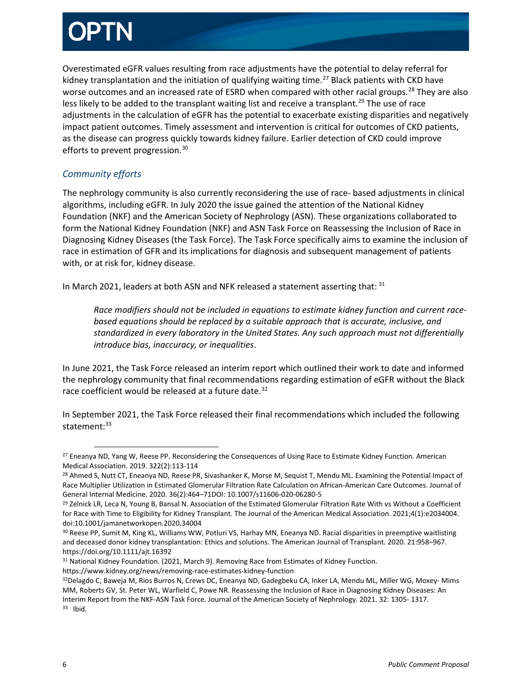Overestimated eGFR values resulting from race adjustments have the potential to delay referral for kidney transplantation and the initiation of qualifying waiting time.<sup>[27](#page-5-0)</sup> Black patients with CKD have worse outcomes and an increased rate of ESRD when compared with other racial groups.<sup>[28](#page-5-1)</sup> They are also less likely to be added to the transplant waiting list and receive a transplant.<sup>[29](#page-5-2)</sup> The use of race adjustments in the calculation of eGFR has the potential to exacerbate existing disparities and negatively impact patient outcomes. Timely assessment and intervention is critical for outcomes of CKD patients, as the disease can progress quickly towards kidney failure. Earlier detection of CKD could improve efforts to prevent progression.<sup>[30](#page-5-3)</sup>

## *Community efforts*

The nephrology community is also currently reconsidering the use of race- based adjustments in clinical algorithms, including eGFR. In July 2020 the issue gained the attention of the National Kidney Foundation (NKF) and the American Society of Nephrology (ASN). These organizations collaborated to form the National Kidney Foundation (NKF) and ASN Task Force on Reassessing the Inclusion of Race in Diagnosing Kidney Diseases (the Task Force). The Task Force specifically aims to examine the inclusion of race in estimation of GFR and its implications for diagnosis and subsequent management of patients with, or at risk for, kidney disease.

In March 2021, leaders at both ASN and NFK released a statement asserting that:  $31$ 

*Race modifiers should not be included in equations to estimate kidney function and current racebased equations should be replaced by a suitable approach that is accurate, inclusive, and standardized in every laboratory in the United States. Any such approach must not differentially introduce bias, inaccuracy, or inequalities*.

In June 2021, the Task Force released an interim report which outlined their work to date and informed the nephrology community that final recommendations regarding estimation of eGFR without the Black race coefficient would be released at a future date.<sup>[32](#page-5-5)</sup>

In September 2021, the Task Force released their final recommendations which included the following statement: [33](#page-5-6)

<span id="page-5-0"></span><sup>&</sup>lt;sup>27</sup> Eneanya ND, Yang W, Reese PP. Reconsidering the Consequences of Using Race to Estimate Kidney Function. American

<span id="page-5-1"></span>Medical Association. 2019. 322(2):113-114<br><sup>28</sup> Ahmed S, Nutt CT, Eneanya ND, Reese PR, Sivashanker K, Morse M, Sequist T, Mendu ML. Examining the Potential Impact of Race Multiplier Utilization in Estimated Glomerular Filtration Rate Calculation on African-American Care Outcomes. Journal of

<span id="page-5-2"></span>General Internal Medicine. 2020. 36(2):464–71DOI: 10.1007/s11606-020-06280-5<br><sup>29</sup> Zelnick LR, Leca N, Young B, Bansal N. Association of the Estimated Glomerular Filtration Rate With vs Without a Coefficient for Race with Time to Eligibility for Kidney Transplant. The Journal of the American Medical Association. 2021;4(1):e2034004. doi:10.1001/jamanetworkopen.2020.34004

<span id="page-5-3"></span><sup>30</sup> Reese PP, Sumit M, King KL, Williams WW, Potluri VS, Harhay MN, Eneanya ND. Racial disparities in preemptive waitlisting and deceased donor kidney transplantation: Ethics and solutions. The American Journal of Transplant. 2020. 21:958–967. https://doi.org/10.1111/ajt.16392

<span id="page-5-4"></span><sup>&</sup>lt;sup>31</sup> National Kidney Foundation. (2021, March 9). Removing Race from Estimates of Kidney Function.

https://www.kidney.org/news/removing-race-estimates-kidney-function

<span id="page-5-6"></span><span id="page-5-5"></span><sup>3&</sup>lt;sup>2</sup>Delagdo C, Baweja M, Rios Burros N, Crews DC, Eneanya ND, Gadegbeku CA, Inker LA, Mendu ML, Miller WG, Moxey- Mims MM, Roberts GV, St. Peter WL, Warfield C, Powe NR. Reassessing the Inclusion of Race in Diagnosing Kidney Diseases: An Interim Report from the NKF-ASN Task Force. Journal of the American Society of Nephrology. 2021. 32: 1305- 1317.<br><sup>33</sup> Ibid.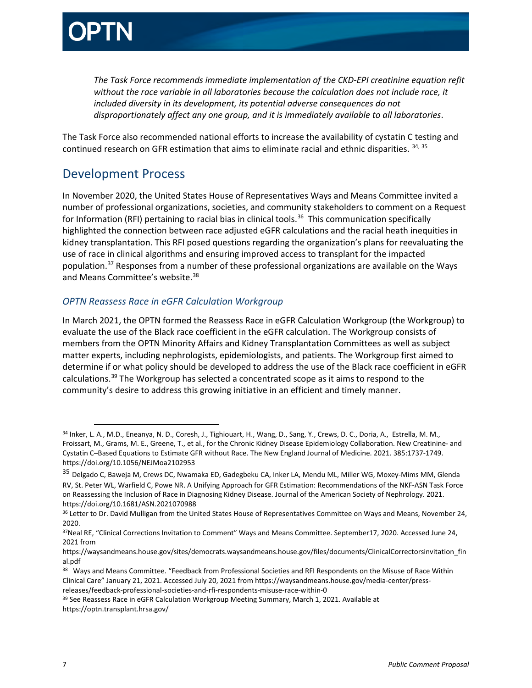

*The Task Force recommends immediate implementation of the CKD-EPI creatinine equation refit without the race variable in all laboratories because the calculation does not include race, it included diversity in its development, its potential adverse consequences do not disproportionately affect any one group, and it is immediately available to all laboratories*.

The Task Force also recommended national efforts to increase the availability of cystatin C testing and continued research on GFR estimation that aims to eliminate racial and ethnic disparities.  $34, 35$  $34, 35$ 

## Development Process

In November 2020, the United States House of Representatives Ways and Means Committee invited a number of professional organizations, societies, and community stakeholders to comment on a Request for Information (RFI) pertaining to racial bias in clinical tools.<sup>36</sup> This communication specifically highlighted the connection between race adjusted eGFR calculations and the racial heath inequities in kidney transplantation. This RFI posed questions regarding the organization's plans for reevaluating the use of race in clinical algorithms and ensuring improved access to transplant for the impacted population.[37](#page-6-3) Responses from a number of these professional organizations are available on the Ways and Means Committee's website.<sup>[38](#page-6-4)</sup>

### *OPTN Reassess Race in eGFR Calculation Workgroup*

In March 2021, the OPTN formed the Reassess Race in eGFR Calculation Workgroup (the Workgroup) to evaluate the use of the Black race coefficient in the eGFR calculation. The Workgroup consists of members from the OPTN Minority Affairs and Kidney Transplantation Committees as well as subject matter experts, including nephrologists, epidemiologists, and patients. The Workgroup first aimed to determine if or what policy should be developed to address the use of the Black race coefficient in eGFR calculations.<sup>[39](#page-6-5)</sup> The Workgroup has selected a concentrated scope as it aims to respond to the community's desire to address this growing initiative in an efficient and timely manner.

<span id="page-6-0"></span><sup>34</sup> Inker, L. A., M.D., Eneanya, N. D., Coresh, J., Tighiouart, H., Wang, D., Sang, Y., Crews, D. C., Doria, A., Estrella, M. M., Froissart, M., Grams, M. E., Greene, T., et al., for the Chronic Kidney Disease Epidemiology Collaboration. New Creatinine- and Cystatin C–Based Equations to Estimate GFR without Race. The New England Journal of Medicine. 2021. 385:1737-1749. https://doi.org/10.1056/NEJMoa2102953

<span id="page-6-1"></span><sup>35</sup> Delgado C, Baweja M, Crews DC, Nwamaka ED, Gadegbeku CA, Inker LA, Mendu ML, Miller WG, Moxey-Mims MM, Glenda RV, St. Peter WL, Warfield C, Powe NR. A Unifying Approach for GFR Estimation: Recommendations of the NKF-ASN Task Force on Reassessing the Inclusion of Race in Diagnosing Kidney Disease. Journal of the American Society of Nephrology. 2021. https://doi.org/10.1681/ASN.2021070988

<span id="page-6-2"></span><sup>&</sup>lt;sup>36</sup> Letter to Dr. David Mulligan from the United States House of Representatives Committee on Ways and Means, November 24, 2020.

<span id="page-6-3"></span><sup>&</sup>lt;sup>37</sup>Neal RE, "Clinical Corrections Invitation to Comment" Ways and Means Committee. September17, 2020. Accessed June 24, 2021 from

https://waysandmeans.house.gov/sites/democrats.waysandmeans.house.gov/files/documents/ClinicalCorrectorsinvitation\_fin al.pdf

<span id="page-6-4"></span><sup>&</sup>lt;sup>38</sup> Ways and Means Committee. "Feedback from Professional Societies and RFI Respondents on the Misuse of Race Within Clinical Care" January 21, 2021. Accessed July 20, 2021 from https://waysandmeans.house.gov/media-center/press-

<span id="page-6-5"></span>releases/feedback-professional-societies-and-rfi-respondents-misuse-race-within-0<br><sup>39</sup> See Reassess Race in eGFR Calculation Workgroup Meeting Summary, March 1, 2021. Available at https://optn.transplant.hrsa.gov/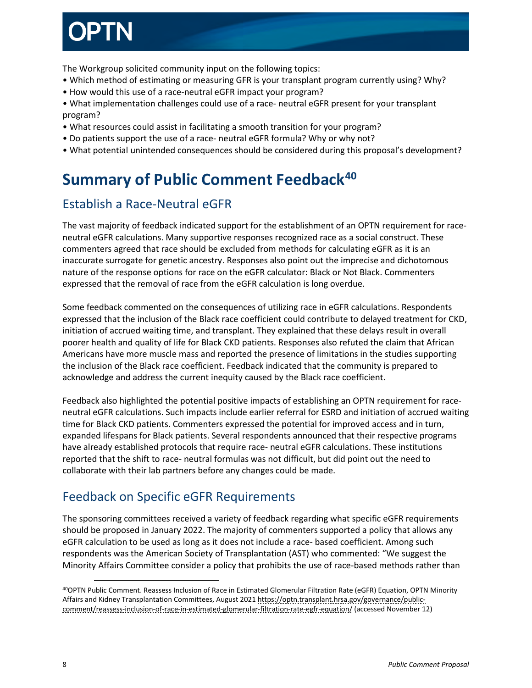

The Workgroup solicited community input on the following topics:

- Which method of estimating or measuring GFR is your transplant program currently using? Why?
- How would this use of a race-neutral eGFR impact your program?
- What implementation challenges could use of a race- neutral eGFR present for your transplant program?
- What resources could assist in facilitating a smooth transition for your program?
- Do patients support the use of a race- neutral eGFR formula? Why or why not?
- What potential unintended consequences should be considered during this proposal's development?

## <span id="page-7-0"></span>**Summary of Public Comment Feedbac[k40](#page-7-1)**

## Establish a Race-Neutral eGFR

The vast majority of feedback indicated support for the establishment of an OPTN requirement for raceneutral eGFR calculations. Many supportive responses recognized race as a social construct. These commenters agreed that race should be excluded from methods for calculating eGFR as it is an inaccurate surrogate for genetic ancestry. Responses also point out the imprecise and dichotomous nature of the response options for race on the eGFR calculator: Black or Not Black. Commenters expressed that the removal of race from the eGFR calculation is long overdue.

Some feedback commented on the consequences of utilizing race in eGFR calculations. Respondents expressed that the inclusion of the Black race coefficient could contribute to delayed treatment for CKD, initiation of accrued waiting time, and transplant. They explained that these delays result in overall poorer health and quality of life for Black CKD patients. Responses also refuted the claim that African Americans have more muscle mass and reported the presence of limitations in the studies supporting the inclusion of the Black race coefficient. Feedback indicated that the community is prepared to acknowledge and address the current inequity caused by the Black race coefficient.

Feedback also highlighted the potential positive impacts of establishing an OPTN requirement for raceneutral eGFR calculations. Such impacts include earlier referral for ESRD and initiation of accrued waiting time for Black CKD patients. Commenters expressed the potential for improved access and in turn, expanded lifespans for Black patients. Several respondents announced that their respective programs have already established protocols that require race- neutral eGFR calculations. These institutions reported that the shift to race- neutral formulas was not difficult, but did point out the need to collaborate with their lab partners before any changes could be made.

## Feedback on Specific eGFR Requirements

The sponsoring committees received a variety of feedback regarding what specific eGFR requirements should be proposed in January 2022. The majority of commenters supported a policy that allows any eGFR calculation to be used as long as it does not include a race- based coefficient. Among such respondents was the American Society of Transplantation (AST) who commented: "We suggest the Minority Affairs Committee consider a policy that prohibits the use of race-based methods rather than

<span id="page-7-1"></span> <sup>40</sup>OPTN Public Comment. Reassess Inclusion of Race in Estimated Glomerular Filtration Rate (eGFR) Equation, OPTN Minority Affairs and Kidney Transplantation Committees, August 202[1 https://optn.transplant.hrsa.gov/governance/public](https://optn.transplant.hrsa.gov/governance/public-comment/reassess-inclusion-of-race-in-estimated-glomerular-filtration-rate-egfr-equation/)[comment/reassess-inclusion-of-race-in-estimated-glomerular-filtration-rate-egfr-equation/](https://optn.transplant.hrsa.gov/governance/public-comment/reassess-inclusion-of-race-in-estimated-glomerular-filtration-rate-egfr-equation/) (accessed November 12)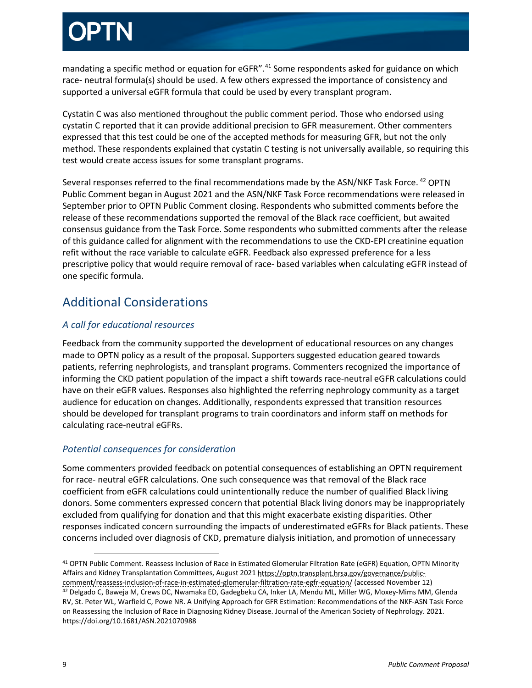mandating a specific method or equation for eGFR".<sup>[41](#page-8-0)</sup> Some respondents asked for guidance on which race- neutral formula(s) should be used. A few others expressed the importance of consistency and supported a universal eGFR formula that could be used by every transplant program.

Cystatin C was also mentioned throughout the public comment period. Those who endorsed using cystatin C reported that it can provide additional precision to GFR measurement. Other commenters expressed that this test could be one of the accepted methods for measuring GFR, but not the only method. These respondents explained that cystatin C testing is not universally available, so requiring this test would create access issues for some transplant programs.

Several responses referred to the final recommendations made by the ASN/NKF Task Force. <sup>[42](#page-8-1)</sup> OPTN Public Comment began in August 2021 and the ASN/NKF Task Force recommendations were released in September prior to OPTN Public Comment closing. Respondents who submitted comments before the release of these recommendations supported the removal of the Black race coefficient, but awaited consensus guidance from the Task Force. Some respondents who submitted comments after the release of this guidance called for alignment with the recommendations to use the CKD-EPI creatinine equation refit without the race variable to calculate eGFR. Feedback also expressed preference for a less prescriptive policy that would require removal of race- based variables when calculating eGFR instead of one specific formula.

## Additional Considerations

## *A call for educational resources*

Feedback from the community supported the development of educational resources on any changes made to OPTN policy as a result of the proposal. Supporters suggested education geared towards patients, referring nephrologists, and transplant programs. Commenters recognized the importance of informing the CKD patient population of the impact a shift towards race-neutral eGFR calculations could have on their eGFR values. Responses also highlighted the referring nephrology community as a target audience for education on changes. Additionally, respondents expressed that transition resources should be developed for transplant programs to train coordinators and inform staff on methods for calculating race-neutral eGFRs.

## *Potential consequences for consideration*

Some commenters provided feedback on potential consequences of establishing an OPTN requirement for race- neutral eGFR calculations. One such consequence was that removal of the Black race coefficient from eGFR calculations could unintentionally reduce the number of qualified Black living donors. Some commenters expressed concern that potential Black living donors may be inappropriately excluded from qualifying for donation and that this might exacerbate existing disparities. Other responses indicated concern surrounding the impacts of underestimated eGFRs for Black patients. These concerns included over diagnosis of CKD, premature dialysis initiation, and promotion of unnecessary

<span id="page-8-0"></span> <sup>41</sup> OPTN Public Comment. Reassess Inclusion of Race in Estimated Glomerular Filtration Rate (eGFR) Equation, OPTN Minority Affairs and Kidney Transplantation Committees, August 202[1 https://optn.transplant.hrsa.gov/governance/public](https://optn.transplant.hrsa.gov/governance/public-comment/reassess-inclusion-of-race-in-estimated-glomerular-filtration-rate-egfr-equation/)[comment/reassess-inclusion-of-race-in-estimated-glomerular-filtration-rate-egfr-equation/](https://optn.transplant.hrsa.gov/governance/public-comment/reassess-inclusion-of-race-in-estimated-glomerular-filtration-rate-egfr-equation/) (accessed November 12)

<span id="page-8-1"></span><sup>42</sup> Delgado C, Baweja M, Crews DC, Nwamaka ED, Gadegbeku CA, Inker LA, Mendu ML, Miller WG, Moxey-Mims MM, Glenda RV, St. Peter WL, Warfield C, Powe NR. A Unifying Approach for GFR Estimation: Recommendations of the NKF-ASN Task Force on Reassessing the Inclusion of Race in Diagnosing Kidney Disease. Journal of the American Society of Nephrology. 2021. https://doi.org/10.1681/ASN.2021070988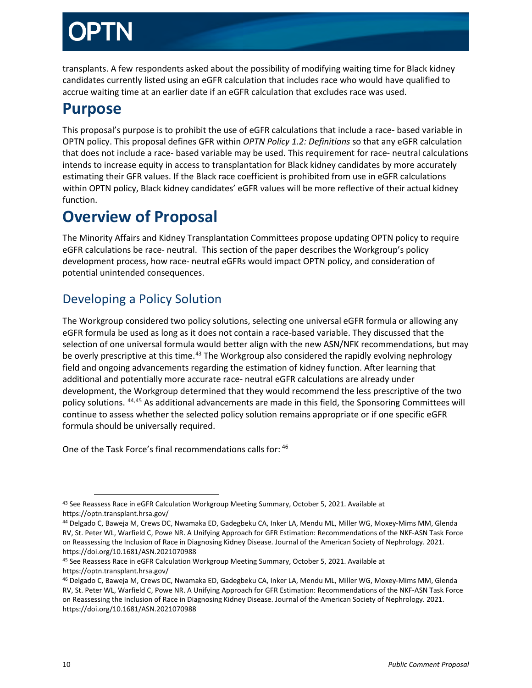transplants. A few respondents asked about the possibility of modifying waiting time for Black kidney candidates currently listed using an eGFR calculation that includes race who would have qualified to accrue waiting time at an earlier date if an eGFR calculation that excludes race was used.

## <span id="page-9-0"></span>**Purpose**

This proposal's purpose is to prohibit the use of eGFR calculations that include a race- based variable in OPTN policy. This proposal defines GFR within *OPTN Policy 1.2: Definitions* so that any eGFR calculation that does not include a race- based variable may be used. This requirement for race- neutral calculations intends to increase equity in access to transplantation for Black kidney candidates by more accurately estimating their GFR values. If the Black race coefficient is prohibited from use in eGFR calculations within OPTN policy, Black kidney candidates' eGFR values will be more reflective of their actual kidney function.

## <span id="page-9-1"></span>**Overview of Proposal**

The Minority Affairs and Kidney Transplantation Committees propose updating OPTN policy to require eGFR calculations be race- neutral. This section of the paper describes the Workgroup's policy development process, how race- neutral eGFRs would impact OPTN policy, and consideration of potential unintended consequences.

## Developing a Policy Solution

The Workgroup considered two policy solutions, selecting one universal eGFR formula or allowing any eGFR formula be used as long as it does not contain a race-based variable. They discussed that the selection of one universal formula would better align with the new ASN/NFK recommendations, but may be overly prescriptive at this time.<sup>[43](#page-9-2)</sup> The Workgroup also considered the rapidly evolving nephrology field and ongoing advancements regarding the estimation of kidney function. After learning that additional and potentially more accurate race- neutral eGFR calculations are already under development, the Workgroup determined that they would recommend the less prescriptive of the two policy solutions. [44,](#page-9-3)[45](#page-9-4) As additional advancements are made in this field, the Sponsoring Committees will continue to assess whether the selected policy solution remains appropriate or if one specific eGFR formula should be universally required.

One of the Task Force's final recommendations calls for: [46](#page-9-5)

<span id="page-9-2"></span><sup>&</sup>lt;sup>43</sup> See Reassess Race in eGFR Calculation Workgroup Meeting Summary, October 5, 2021. Available at https://optn.transplant.hrsa.gov/

<span id="page-9-3"></span><sup>44</sup> Delgado C, Baweja M, Crews DC, Nwamaka ED, Gadegbeku CA, Inker LA, Mendu ML, Miller WG, Moxey-Mims MM, Glenda RV, St. Peter WL, Warfield C, Powe NR. A Unifying Approach for GFR Estimation: Recommendations of the NKF-ASN Task Force on Reassessing the Inclusion of Race in Diagnosing Kidney Disease. Journal of the American Society of Nephrology. 2021. https://doi.org/10.1681/ASN.2021070988

<span id="page-9-4"></span><sup>45</sup> See Reassess Race in eGFR Calculation Workgroup Meeting Summary, October 5, 2021. Available at https://optn.transplant.hrsa.gov/

<span id="page-9-5"></span><sup>46</sup> Delgado C, Baweja M, Crews DC, Nwamaka ED, Gadegbeku CA, Inker LA, Mendu ML, Miller WG, Moxey-Mims MM, Glenda RV, St. Peter WL, Warfield C, Powe NR. A Unifying Approach for GFR Estimation: Recommendations of the NKF-ASN Task Force on Reassessing the Inclusion of Race in Diagnosing Kidney Disease. Journal of the American Society of Nephrology. 2021. https://doi.org/10.1681/ASN.2021070988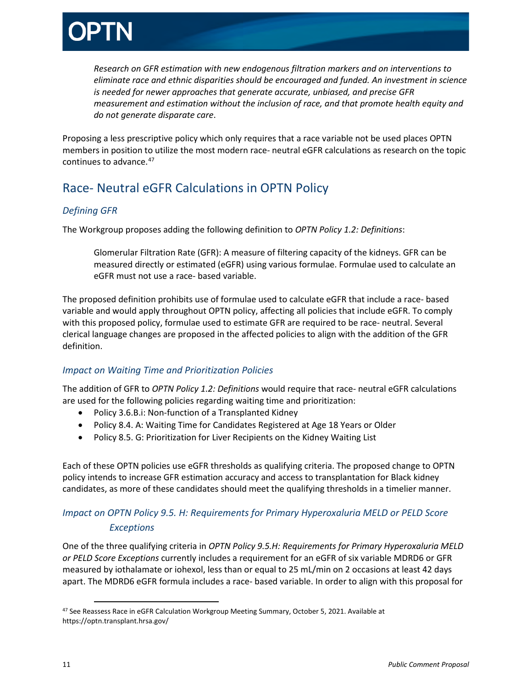

*Research on GFR estimation with new endogenous filtration markers and on interventions to eliminate race and ethnic disparities should be encouraged and funded. An investment in science is needed for newer approaches that generate accurate, unbiased, and precise GFR measurement and estimation without the inclusion of race, and that promote health equity and do not generate disparate care*.

Proposing a less prescriptive policy which only requires that a race variable not be used places OPTN members in position to utilize the most modern race- neutral eGFR calculations as research on the topic continues to advance. [47](#page-10-0)

## Race- Neutral eGFR Calculations in OPTN Policy

## *Defining GFR*

The Workgroup proposes adding the following definition to *OPTN Policy 1.2: Definitions*:

Glomerular Filtration Rate (GFR): A measure of filtering capacity of the kidneys. GFR can be measured directly or estimated (eGFR) using various formulae. Formulae used to calculate an eGFR must not use a race- based variable.

The proposed definition prohibits use of formulae used to calculate eGFR that include a race- based variable and would apply throughout OPTN policy, affecting all policies that include eGFR. To comply with this proposed policy, formulae used to estimate GFR are required to be race- neutral. Several clerical language changes are proposed in the affected policies to align with the addition of the GFR definition.

## *Impact on Waiting Time and Prioritization Policies*

The addition of GFR to *OPTN Policy 1.2: Definitions* would require that race- neutral eGFR calculations are used for the following policies regarding waiting time and prioritization:

- Policy 3.6.B.i: Non-function of a Transplanted Kidney
- Policy 8.4. A: Waiting Time for Candidates Registered at Age 18 Years or Older
- Policy 8.5. G: Prioritization for Liver Recipients on the Kidney Waiting List

Each of these OPTN policies use eGFR thresholds as qualifying criteria. The proposed change to OPTN policy intends to increase GFR estimation accuracy and access to transplantation for Black kidney candidates, as more of these candidates should meet the qualifying thresholds in a timelier manner.

## *Impact on OPTN Policy 9.5. H: Requirements for Primary Hyperoxaluria MELD or PELD Score Exceptions*

One of the three qualifying criteria in *OPTN Policy 9.5.H: Requirements for Primary Hyperoxaluria MELD or PELD Score Exceptions* currently includes a requirement for an eGFR of six variable MDRD6 or GFR measured by iothalamate or iohexol, less than or equal to 25 mL/min on 2 occasions at least 42 days apart. The MDRD6 eGFR formula includes a race- based variable. In order to align with this proposal for

<span id="page-10-0"></span><sup>47</sup> See Reassess Race in eGFR Calculation Workgroup Meeting Summary, October 5, 2021. Available at https://optn.transplant.hrsa.gov/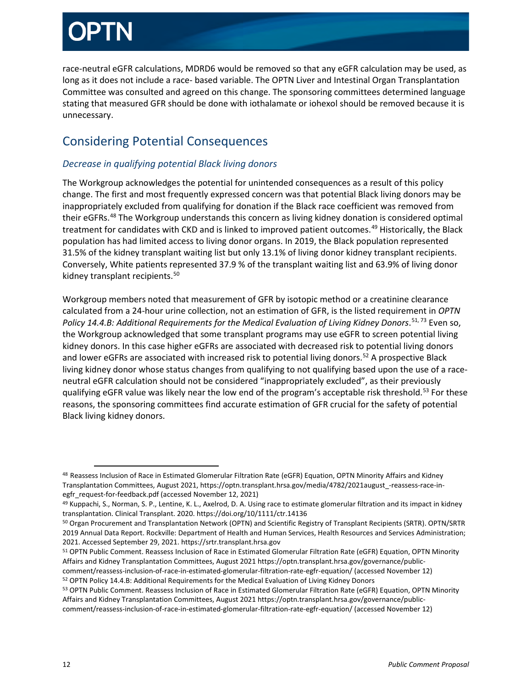race-neutral eGFR calculations, MDRD6 would be removed so that any eGFR calculation may be used, as long as it does not include a race- based variable. The OPTN Liver and Intestinal Organ Transplantation Committee was consulted and agreed on this change. The sponsoring committees determined language stating that measured GFR should be done with iothalamate or iohexol should be removed because it is unnecessary.

## Considering Potential Consequences

## *Decrease in qualifying potential Black living donors*

The Workgroup acknowledges the potential for unintended consequences as a result of this policy change. The first and most frequently expressed concern was that potential Black living donors may be inappropriately excluded from qualifying for donation if the Black race coefficient was removed from their eGFRs.[48](#page-11-0) The Workgroup understands this concern as living kidney donation is considered optimal treatment for candidates with CKD and is linked to improved patient outcomes.<sup>[49](#page-11-1)</sup> Historically, the Black population has had limited access to living donor organs. In 2019, the Black population represented 31.5% of the kidney transplant waiting list but only 13.1% of living donor kidney transplant recipients. Conversely, White patients represented 37.9 % of the transplant waiting list and 63.9% of living donor kidney transplant recipients.<sup>50</sup>

Workgroup members noted that measurement of GFR by isotopic method or a creatinine clearance calculated from a 24-hour urine collection, not an estimation of GFR, is the listed requirement in *OPTN*  Policy 14.4.B: Additional Requirements for the Medical Evaluation of Living Kidney Donors.<sup>[51,](#page-11-3) 73</sup> Even so, the Workgroup acknowledged that some transplant programs may use eGFR to screen potential living kidney donors. In this case higher eGFRs are associated with decreased risk to potential living donors and lower eGFRs are associated with increased risk to potential living donors.<sup>52</sup> A prospective Black living kidney donor whose status changes from qualifying to not qualifying based upon the use of a raceneutral eGFR calculation should not be considered "inappropriately excluded", as their previously qualifying eGFR value was likely near the low end of the program's acceptable risk threshold.<sup>[53](#page-11-5)</sup> For these reasons, the sponsoring committees find accurate estimation of GFR crucial for the safety of potential Black living kidney donors.

<span id="page-11-0"></span><sup>48</sup> Reassess Inclusion of Race in Estimated Glomerular Filtration Rate (eGFR) Equation, OPTN Minority Affairs and Kidney Transplantation Committees, August 2021, https://optn.transplant.hrsa.gov/media/4782/2021august\_-reassess-race-inegfr\_request-for-feedback.pdf (accessed November 12, 2021)

<span id="page-11-1"></span><sup>49</sup> Kuppachi, S., Norman, S. P., Lentine, K. L., Axelrod, D. A. Using race to estimate glomerular filtration and its impact in kidney transplantation. Clinical Transplant. 2020. https://doi.org/10/1111/ctr.14136

<span id="page-11-2"></span><sup>50</sup> Organ Procurement and Transplantation Network (OPTN) and Scientific Registry of Transplant Recipients (SRTR). OPTN/SRTR 2019 Annual Data Report. Rockville: Department of Health and Human Services, Health Resources and Services Administration; 2021. Accessed September 29, 2021. https://srtr.transplant.hrsa.gov

<span id="page-11-3"></span><sup>51</sup> OPTN Public Comment. Reassess Inclusion of Race in Estimated Glomerular Filtration Rate (eGFR) Equation, OPTN Minority Affairs and Kidney Transplantation Committees, August 2021 https://optn.transplant.hrsa.gov/governance/publiccomment/reassess-inclusion-of-race-in-estimated-glomerular-filtration-rate-egfr-equation/ (accessed November 12)

<span id="page-11-4"></span><sup>&</sup>lt;sup>52</sup> OPTN Policy 14.4.B: Additional Requirements for the Medical Evaluation of Living Kidney Donors

<span id="page-11-5"></span><sup>53</sup> OPTN Public Comment. Reassess Inclusion of Race in Estimated Glomerular Filtration Rate (eGFR) Equation, OPTN Minority Affairs and Kidney Transplantation Committees, August 2021 https://optn.transplant.hrsa.gov/governance/publiccomment/reassess-inclusion-of-race-in-estimated-glomerular-filtration-rate-egfr-equation/ (accessed November 12)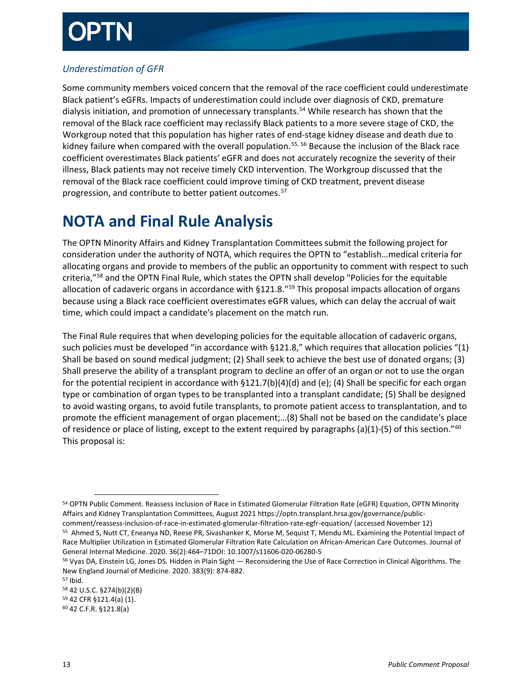## *Underestimation of GFR*

Some community members voiced concern that the removal of the race coefficient could underestimate Black patient's eGFRs. Impacts of underestimation could include over diagnosis of CKD, premature dialysis initiation, and promotion of unnecessary transplants.<sup>[54](#page-12-1)</sup> While research has shown that the removal of the Black race coefficient may reclassify Black patients to a more severe stage of CKD, the Workgroup noted that this population has higher rates of end-stage kidney disease and death due to kidney failure when compared with the overall population.<sup>[55](#page-12-2), [56](#page-12-3)</sup> Because the inclusion of the Black race coefficient overestimates Black patients' eGFR and does not accurately recognize the severity of their illness, Black patients may not receive timely CKD intervention. The Workgroup discussed that the removal of the Black race coefficient could improve timing of CKD treatment, prevent disease progression, and contribute to better patient outcomes.<sup>[57](#page-12-4)</sup>

## <span id="page-12-0"></span>**NOTA and Final Rule Analysis**

The OPTN Minority Affairs and Kidney Transplantation Committees submit the following project for consideration under the authority of NOTA, which requires the OPTN to "establish…medical criteria for allocating organs and provide to members of the public an opportunity to comment with respect to such criteria,"[58](#page-12-5) and the OPTN Final Rule, which states the OPTN shall develop "Policies for the equitable allocation of cadaveric organs in accordance with §121.8."<sup>[59](#page-12-6)</sup> This proposal impacts allocation of organs because using a Black race coefficient overestimates eGFR values, which can delay the accrual of wait time, which could impact a candidate's placement on the match run.

The Final Rule requires that when developing policies for the equitable allocation of cadaveric organs, such policies must be developed "in accordance with §121.8," which requires that allocation policies "(1) Shall be based on sound medical judgment; (2) Shall seek to achieve the best use of donated organs; (3) Shall preserve the ability of a transplant program to decline an offer of an organ or not to use the organ for the potential recipient in accordance with §121.7(b)(4)(d) and (e); (4) Shall be specific for each organ type or combination of organ types to be transplanted into a transplant candidate; (5) Shall be designed to avoid wasting organs, to avoid futile transplants, to promote patient access to transplantation, and to promote the efficient management of organ placement;…(8) Shall not be based on the candidate's place of residence or place of listing, except to the extent required by paragraphs (a)(1)-(5) of this section."<sup>[60](#page-12-7)</sup> This proposal is:

<span id="page-12-1"></span> <sup>54</sup> OPTN Public Comment. Reassess Inclusion of Race in Estimated Glomerular Filtration Rate (eGFR) Equation, OPTN Minority Affairs and Kidney Transplantation Committees, August 2021 https://optn.transplant.hrsa.gov/governance/publiccomment/reassess-inclusion-of-race-in-estimated-glomerular-filtration-rate-egfr-equation/ (accessed November 12)

<span id="page-12-2"></span><sup>55</sup> Ahmed S, Nutt CT, Eneanya ND, Reese PR, Sivashanker K, Morse M, Sequist T, Mendu ML. Examining the Potential Impact of Race Multiplier Utilization in Estimated Glomerular Filtration Rate Calculation on African-American Care Outcomes. Journal of General Internal Medicine. 2020. 36(2):464–71DOI: 10.1007/s11606-020-06280-5<br><sup>56</sup> Vyas DA, Einstein LG, Jones DS. Hidden in Plain Sight — Reconsidering the Use of Race Correction in Clinical Algorithms. The

<span id="page-12-3"></span>New England Journal of Medicine. 2020. 383(9): 874-882.<br><sup>57</sup> Ibid.

<span id="page-12-4"></span>

<span id="page-12-5"></span><sup>58</sup> 42 U.S.C. §274(b)(2)(B)

<span id="page-12-6"></span><sup>59</sup> 42 CFR §121.4(a) (1).

<span id="page-12-7"></span><sup>60</sup> 42 C.F.R. §121.8(a)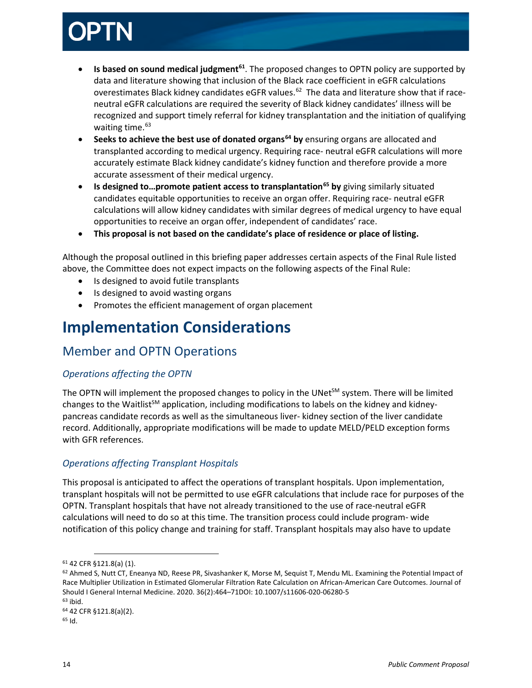- **Is based on sound medical judgment[61](#page-13-1)**. The proposed changes to OPTN policy are supported by data and literature showing that inclusion of the Black race coefficient in eGFR calculations overestimates Black kidney candidates eGFR values.<sup>62</sup> The data and literature show that if raceneutral eGFR calculations are required the severity of Black kidney candidates' illness will be recognized and support timely referral for kidney transplantation and the initiation of qualifying waiting time. $63$
- **Seeks to achieve the best use of donated organs[64](#page-13-4) by** ensuring organs are allocated and transplanted according to medical urgency. Requiring race- neutral eGFR calculations will more accurately estimate Black kidney candidate's kidney function and therefore provide a more accurate assessment of their medical urgency.
- **Is designed to…promote patient access to transplantation[65](#page-13-5) by** giving similarly situated candidates equitable opportunities to receive an organ offer. Requiring race- neutral eGFR calculations will allow kidney candidates with similar degrees of medical urgency to have equal opportunities to receive an organ offer, independent of candidates' race.
- **This proposal is not based on the candidate's place of residence or place of listing.**

Although the proposal outlined in this briefing paper addresses certain aspects of the Final Rule listed above, the Committee does not expect impacts on the following aspects of the Final Rule:

- Is designed to avoid futile transplants
- Is designed to avoid wasting organs
- Promotes the efficient management of organ placement

## <span id="page-13-0"></span>**Implementation Considerations**

## Member and OPTN Operations

### *Operations affecting the OPTN*

The OPTN will implement the proposed changes to policy in the UNet $^{5M}$  system. There will be limited changes to the Waitlist<sup>SM</sup> application, including modifications to labels on the kidney and kidneypancreas candidate records as well as the simultaneous liver- kidney section of the liver candidate record. Additionally, appropriate modifications will be made to update MELD/PELD exception forms with GFR references.

### *Operations affecting Transplant Hospitals*

This proposal is anticipated to affect the operations of transplant hospitals. Upon implementation, transplant hospitals will not be permitted to use eGFR calculations that include race for purposes of the OPTN. Transplant hospitals that have not already transitioned to the use of race-neutral eGFR calculations will need to do so at this time. The transition process could include program- wide notification of this policy change and training for staff. Transplant hospitals may also have to update

<span id="page-13-1"></span> <sup>61 42</sup> CFR §121.8(a) (1).

<span id="page-13-2"></span> $62$  Ahmed S, Nutt CT, Eneanya ND, Reese PR, Sivashanker K, Morse M, Sequist T, Mendu ML. Examining the Potential Impact of Race Multiplier Utilization in Estimated Glomerular Filtration Rate Calculation on African-American Care Outcomes. Journal of Should I General Internal Medicine. 2020. 36(2):464–71DOI: 10.1007/s11606-020-06280-5 63 ibid.

<span id="page-13-4"></span><span id="page-13-3"></span><sup>64 42</sup> CFR §121.8(a)(2). 65 Id.

<span id="page-13-5"></span>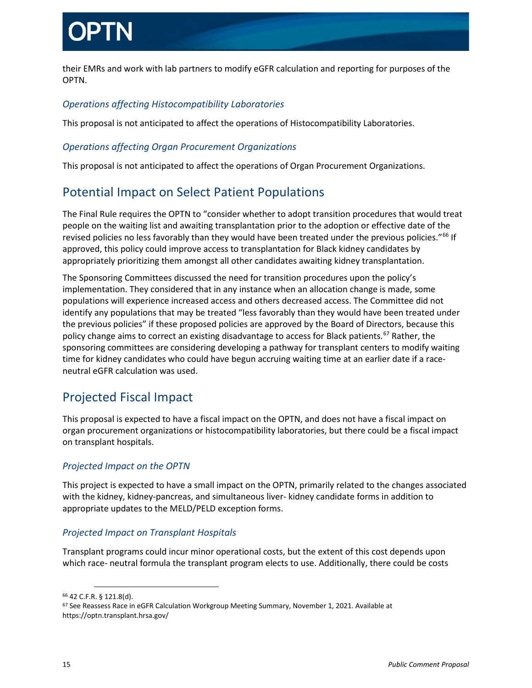their EMRs and work with lab partners to modify eGFR calculation and reporting for purposes of the OPTN.

### *Operations affecting Histocompatibility Laboratories*

This proposal is not anticipated to affect the operations of Histocompatibility Laboratories.

### *Operations affecting Organ Procurement Organizations*

This proposal is not anticipated to affect the operations of Organ Procurement Organizations.

## Potential Impact on Select Patient Populations

The Final Rule requires the OPTN to "consider whether to adopt transition procedures that would treat people on the waiting list and awaiting transplantation prior to the adoption or effective date of the revised policies no less favorably than they would have been treated under the previous policies."<sup>66</sup> If approved, this policy could improve access to transplantation for Black kidney candidates by appropriately prioritizing them amongst all other candidates awaiting kidney transplantation.

The Sponsoring Committees discussed the need for transition procedures upon the policy's implementation. They considered that in any instance when an allocation change is made, some populations will experience increased access and others decreased access. The Committee did not identify any populations that may be treated "less favorably than they would have been treated under the previous policies" if these proposed policies are approved by the Board of Directors, because this policy change aims to correct an existing disadvantage to access for Black patients.<sup>[67](#page-14-1)</sup> Rather, the sponsoring committees are considering developing a pathway for transplant centers to modify waiting time for kidney candidates who could have begun accruing waiting time at an earlier date if a raceneutral eGFR calculation was used.

## Projected Fiscal Impact

This proposal is expected to have a fiscal impact on the OPTN, and does not have a fiscal impact on organ procurement organizations or histocompatibility laboratories, but there could be a fiscal impact on transplant hospitals.

### *Projected Impact on the OPTN*

This project is expected to have a small impact on the OPTN, primarily related to the changes associated with the kidney, kidney-pancreas, and simultaneous liver- kidney candidate forms in addition to appropriate updates to the MELD/PELD exception forms.

## *Projected Impact on Transplant Hospitals*

Transplant programs could incur minor operational costs, but the extent of this cost depends upon which race- neutral formula the transplant program elects to use. Additionally, there could be costs

<span id="page-14-0"></span> <sup>66 42</sup> C.F.R. § 121.8(d).

<span id="page-14-1"></span><sup>67</sup> See Reassess Race in eGFR Calculation Workgroup Meeting Summary, November 1, 2021. Available at https://optn.transplant.hrsa.gov/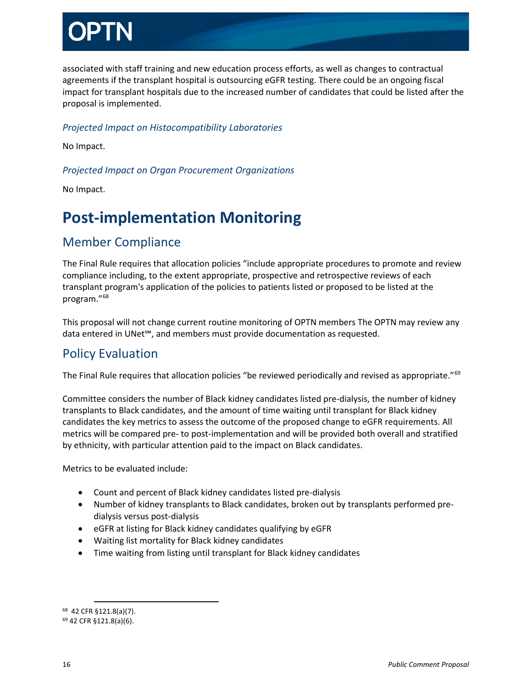associated with staff training and new education process efforts, as well as changes to contractual agreements if the transplant hospital is outsourcing eGFR testing. There could be an ongoing fiscal impact for transplant hospitals due to the increased number of candidates that could be listed after the proposal is implemented.

### *Projected Impact on Histocompatibility Laboratories*

No Impact.

### *Projected Impact on Organ Procurement Organizations*

No Impact.

## <span id="page-15-0"></span>**Post-implementation Monitoring**

## Member Compliance

The Final Rule requires that allocation policies "include appropriate procedures to promote and review compliance including, to the extent appropriate, prospective and retrospective reviews of each transplant program's application of the policies to patients listed or proposed to be listed at the program."[68](#page-15-1)

This proposal will not change current routine monitoring of OPTN members The OPTN may review any data entered in UNet℠, and members must provide documentation as requested.

## Policy Evaluation

The Final Rule requires that allocation policies "be reviewed periodically and revised as appropriate."<sup>[69](#page-15-2)</sup>

Committee considers the number of Black kidney candidates listed pre-dialysis, the number of kidney transplants to Black candidates, and the amount of time waiting until transplant for Black kidney candidates the key metrics to assess the outcome of the proposed change to eGFR requirements. All metrics will be compared pre- to post-implementation and will be provided both overall and stratified by ethnicity, with particular attention paid to the impact on Black candidates.

Metrics to be evaluated include:

- Count and percent of Black kidney candidates listed pre-dialysis
- Number of kidney transplants to Black candidates, broken out by transplants performed predialysis versus post-dialysis
- eGFR at listing for Black kidney candidates qualifying by eGFR
- Waiting list mortality for Black kidney candidates
- Time waiting from listing until transplant for Black kidney candidates

<span id="page-15-1"></span> <sup>68 42</sup> CFR §121.8(a)(7).

<span id="page-15-2"></span><sup>69</sup> 42 CFR §121.8(a)(6).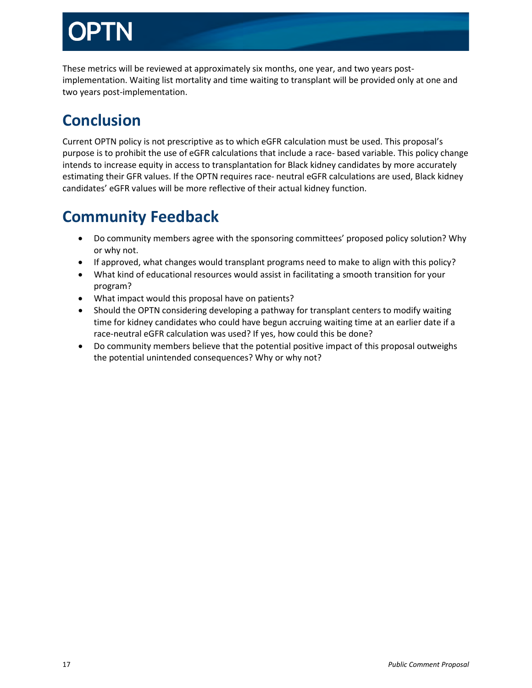These metrics will be reviewed at approximately six months, one year, and two years postimplementation. Waiting list mortality and time waiting to transplant will be provided only at one and two years post-implementation.

## <span id="page-16-0"></span>**Conclusion**

Current OPTN policy is not prescriptive as to which eGFR calculation must be used. This proposal's purpose is to prohibit the use of eGFR calculations that include a race- based variable. This policy change intends to increase equity in access to transplantation for Black kidney candidates by more accurately estimating their GFR values. If the OPTN requires race- neutral eGFR calculations are used, Black kidney candidates' eGFR values will be more reflective of their actual kidney function.

## <span id="page-16-1"></span>**Community Feedback**

- Do community members agree with the sponsoring committees' proposed policy solution? Why or why not.
- If approved, what changes would transplant programs need to make to align with this policy?
- What kind of educational resources would assist in facilitating a smooth transition for your program?
- What impact would this proposal have on patients?
- Should the OPTN considering developing a pathway for transplant centers to modify waiting time for kidney candidates who could have begun accruing waiting time at an earlier date if a race-neutral eGFR calculation was used? If yes, how could this be done?
- Do community members believe that the potential positive impact of this proposal outweighs the potential unintended consequences? Why or why not?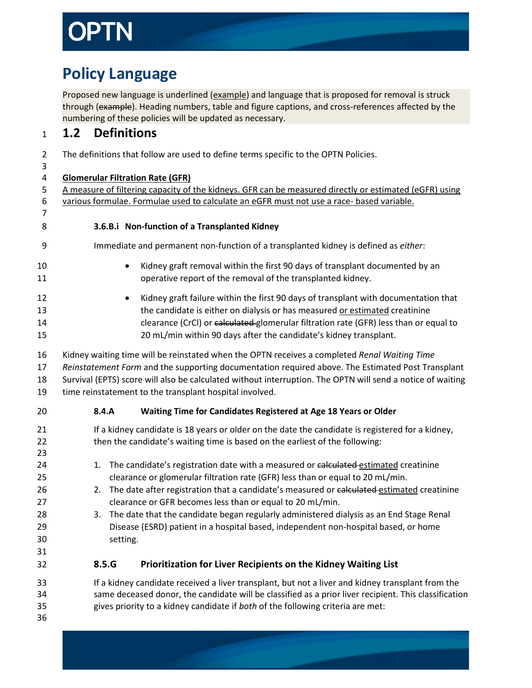## <span id="page-17-0"></span>**Policy Language**

Proposed new language is underlined (example) and language that is proposed for removal is struck through (example). Heading numbers, table and figure captions, and cross-references affected by the numbering of these policies will be updated as necessary.

## **1.2 Definitions**

2 The definitions that follow are used to define terms specific to the OPTN Policies.

## **Glomerular Filtration Rate (GFR)**

- 5 A measure of filtering capacity of the kidneys. GFR can be measured directly or estimated (eGFR) using 6 various formulae. Formulae used to calculate an eGFR must not use a race- based variable.
- **3.6.B.i Non-function of a Transplanted Kidney**
- 9 Immediate and permanent non-function of a transplanted kidney is defined as *either*:
- Kidney graft removal within the first 90 days of transplant documented by an operative report of the removal of the transplanted kidney.
- Kidney graft failure within the first 90 days of transplant with documentation that the candidate is either on dialysis or has measured or estimated creatinine 14 clearance (CrCl) or calculated glomerular filtration rate (GFR) less than or equal to 20 mL/min within 90 days after the candidate's kidney transplant.
- Kidney waiting time will be reinstated when the OPTN receives a completed *Renal Waiting Time*
- *Reinstatement Form* and the supporting documentation required above. The Estimated Post Transplant
- Survival (EPTS) score will also be calculated without interruption. The OPTN will send a notice of waiting
- time reinstatement to the transplant hospital involved.

## **8.4.A Waiting Time for Candidates Registered at Age 18 Years or Older**

- If a kidney candidate is 18 years or older on the date the candidate is registered for a kidney, then the candidate's waiting time is based on the earliest of the following:
- 24 1. The candidate's registration date with a measured or calculated estimated creatinine clearance or glomerular filtration rate (GFR) less than or equal to 20 mL/min.
- 26 2. The date after registration that a candidate's measured or calculated estimated creatinine clearance or GFR becomes less than or equal to 20 mL/min.
- 3. The date that the candidate began regularly administered dialysis as an End Stage Renal Disease (ESRD) patient in a hospital based, independent non-hospital based, or home setting.

## **8.5.G Prioritization for Liver Recipients on the Kidney Waiting List**

 If a kidney candidate received a liver transplant, but not a liver and kidney transplant from the same deceased donor, the candidate will be classified as a prior liver recipient. This classification gives priority to a kidney candidate if *both* of the following criteria are met: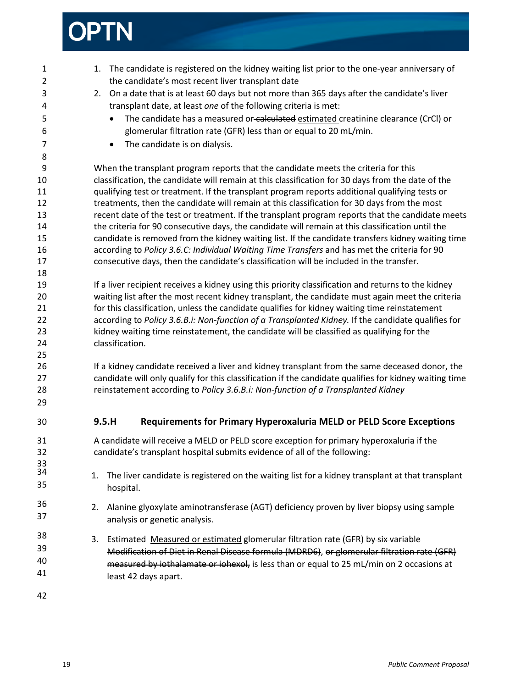# OPTN

| $\mathbf{1}$<br>$\overline{2}$<br>3<br>4<br>5<br>6<br>$\overline{7}$<br>8 | 1. The candidate is registered on the kidney waiting list prior to the one-year anniversary of<br>the candidate's most recent liver transplant date<br>On a date that is at least 60 days but not more than 365 days after the candidate's liver<br>2.<br>transplant date, at least one of the following criteria is met:<br>The candidate has a measured or-calculated estimated creatinine clearance (CrCl) or<br>glomerular filtration rate (GFR) less than or equal to 20 mL/min.<br>The candidate is on dialysis.                                                                           |  |  |
|---------------------------------------------------------------------------|--------------------------------------------------------------------------------------------------------------------------------------------------------------------------------------------------------------------------------------------------------------------------------------------------------------------------------------------------------------------------------------------------------------------------------------------------------------------------------------------------------------------------------------------------------------------------------------------------|--|--|
| 9<br>10<br>11<br>12<br>13<br>14                                           | When the transplant program reports that the candidate meets the criteria for this<br>classification, the candidate will remain at this classification for 30 days from the date of the<br>qualifying test or treatment. If the transplant program reports additional qualifying tests or<br>treatments, then the candidate will remain at this classification for 30 days from the most<br>recent date of the test or treatment. If the transplant program reports that the candidate meets<br>the criteria for 90 consecutive days, the candidate will remain at this classification until the |  |  |
| 15<br>16<br>17<br>18                                                      | candidate is removed from the kidney waiting list. If the candidate transfers kidney waiting time<br>according to Policy 3.6.C: Individual Waiting Time Transfers and has met the criteria for 90<br>consecutive days, then the candidate's classification will be included in the transfer.                                                                                                                                                                                                                                                                                                     |  |  |
| 19<br>20<br>21<br>22<br>23<br>24<br>25                                    | If a liver recipient receives a kidney using this priority classification and returns to the kidney<br>waiting list after the most recent kidney transplant, the candidate must again meet the criteria<br>for this classification, unless the candidate qualifies for kidney waiting time reinstatement<br>according to Policy 3.6.B.i: Non-function of a Transplanted Kidney. If the candidate qualifies for<br>kidney waiting time reinstatement, the candidate will be classified as qualifying for the<br>classification.                                                                   |  |  |
| 26<br>27<br>28<br>29                                                      | If a kidney candidate received a liver and kidney transplant from the same deceased donor, the<br>candidate will only qualify for this classification if the candidate qualifies for kidney waiting time<br>reinstatement according to Policy 3.6.B.i: Non-function of a Transplanted Kidney                                                                                                                                                                                                                                                                                                     |  |  |
| 30                                                                        | 9.5.H<br>Requirements for Primary Hyperoxaluria MELD or PELD Score Exceptions                                                                                                                                                                                                                                                                                                                                                                                                                                                                                                                    |  |  |
| 31<br>32<br>33<br>34                                                      | A candidate will receive a MELD or PELD score exception for primary hyperoxaluria if the<br>candidate's transplant hospital submits evidence of all of the following:<br>The liver candidate is registered on the waiting list for a kidney transplant at that transplant<br>1.                                                                                                                                                                                                                                                                                                                  |  |  |
| 35<br>36<br>37                                                            | hospital.<br>Alanine glyoxylate aminotransferase (AGT) deficiency proven by liver biopsy using sample<br>2.<br>analysis or genetic analysis.                                                                                                                                                                                                                                                                                                                                                                                                                                                     |  |  |
| 38<br>39<br>40<br>41                                                      | Estimated Measured or estimated glomerular filtration rate (GFR) by six variable<br>3.<br>Modification of Diet in Renal Disease formula (MDRD6), or glomerular filtration rate (GFR)<br>measured by iothalamate or iohexol, is less than or equal to 25 mL/min on 2 occasions at<br>least 42 days apart.                                                                                                                                                                                                                                                                                         |  |  |
| 42                                                                        |                                                                                                                                                                                                                                                                                                                                                                                                                                                                                                                                                                                                  |  |  |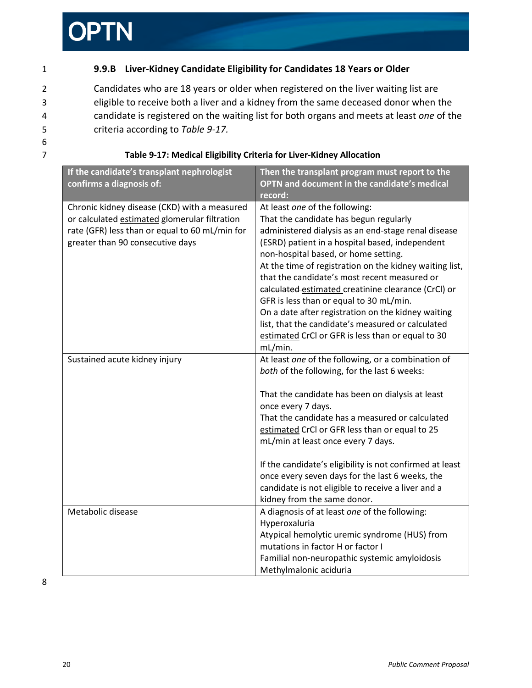# TN

- 
- 6

## 1 **9.9.B Liver-Kidney Candidate Eligibility for Candidates 18 Years or Older**

2 Candidates who are 18 years or older when registered on the liver waiting list are 3 eligible to receive both a liver and a kidney from the same deceased donor when the 4 candidate is registered on the waiting list for both organs and meets at least *one* of the 5 criteria according to *Table 9-17.* 

| If the candidate's transplant nephrologist<br>confirms a diagnosis of:                                                                                                              | Then the transplant program must report to the<br>OPTN and document in the candidate's medical<br>record:                                                                                                                                                                                                                                                                                                                                                                                                                                                                                                          |
|-------------------------------------------------------------------------------------------------------------------------------------------------------------------------------------|--------------------------------------------------------------------------------------------------------------------------------------------------------------------------------------------------------------------------------------------------------------------------------------------------------------------------------------------------------------------------------------------------------------------------------------------------------------------------------------------------------------------------------------------------------------------------------------------------------------------|
| Chronic kidney disease (CKD) with a measured<br>or calculated estimated glomerular filtration<br>rate (GFR) less than or equal to 60 mL/min for<br>greater than 90 consecutive days | At least one of the following:<br>That the candidate has begun regularly<br>administered dialysis as an end-stage renal disease<br>(ESRD) patient in a hospital based, independent<br>non-hospital based, or home setting.<br>At the time of registration on the kidney waiting list,<br>that the candidate's most recent measured or<br>calculated estimated creatinine clearance (CrCl) or<br>GFR is less than or equal to 30 mL/min.<br>On a date after registration on the kidney waiting<br>list, that the candidate's measured or calculated<br>estimated CrCl or GFR is less than or equal to 30<br>mL/min. |
| Sustained acute kidney injury                                                                                                                                                       | At least one of the following, or a combination of<br>both of the following, for the last 6 weeks:<br>That the candidate has been on dialysis at least<br>once every 7 days.<br>That the candidate has a measured or calculated<br>estimated CrCl or GFR less than or equal to 25<br>mL/min at least once every 7 days.<br>If the candidate's eligibility is not confirmed at least<br>once every seven days for the last 6 weeks, the<br>candidate is not eligible to receive a liver and a<br>kidney from the same donor.                                                                                        |
| Metabolic disease                                                                                                                                                                   | A diagnosis of at least one of the following:<br>Hyperoxaluria<br>Atypical hemolytic uremic syndrome (HUS) from<br>mutations in factor H or factor I<br>Familial non-neuropathic systemic amyloidosis<br>Methylmalonic aciduria                                                                                                                                                                                                                                                                                                                                                                                    |

### 7 **Table 9-17: Medical Eligibility Criteria for Liver-Kidney Allocation**

8